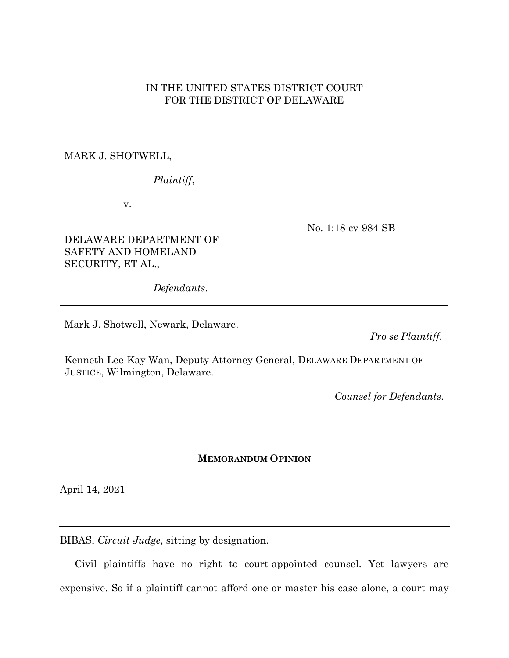### IN THE UNITED STATES DISTRICT COURT FOR THE DISTRICT OF DELAWARE

### MARK J. SHOTWELL,

# *Plaintiff*,

v.

No. 1:18-cv-984-SB

### DELAWARE DEPARTMENT OF SAFETY AND HOMELAND SECURITY, ET AL.,

*Defendants*.

Mark J. Shotwell, Newark, Delaware.

*Pro se Plaintiff*.

Kenneth Lee-Kay Wan, Deputy Attorney General, DELAWARE DEPARTMENT OF JUSTICE, Wilmington, Delaware.

*Counsel for Defendants*.

#### **MEMORANDUM OPINION**

April 14, 2021

BIBAS, *Circuit Judge*, sitting by designation.

Civil plaintiffs have no right to court-appointed counsel. Yet lawyers are expensive. So if a plaintiff cannot afford one or master his case alone, a court may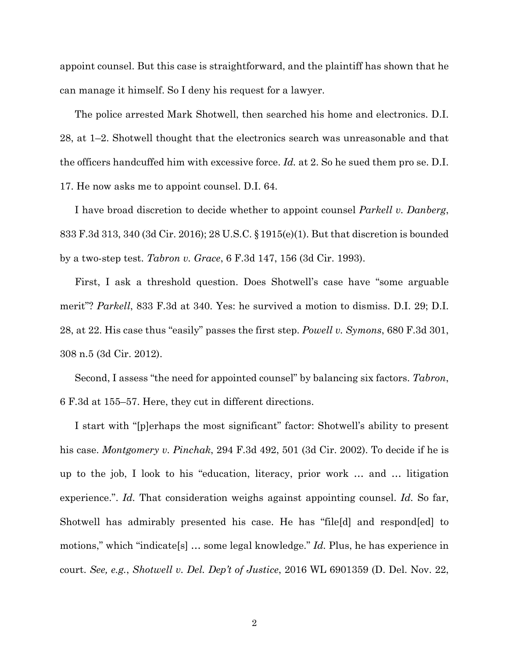appoint counsel. But this case is straightforward, and the plaintiff has shown that he can manage it himself. So I deny his request for a lawyer.

The police arrested Mark Shotwell, then searched his home and electronics. D.I. 28, at 1–2. Shotwell thought that the electronics search was unreasonable and that the officers handcuffed him with excessive force. *Id.* at 2. So he sued them pro se. D.I. 17. He now asks me to appoint counsel. D.I. 64.

I have broad discretion to decide whether to appoint counsel *Parkell v. Danberg*, 833 F.3d 313, 340 (3d Cir. 2016); 28 U.S.C. §1915(e)(1). But that discretion is bounded by a two-step test. *Tabron v. Grace*, 6 F.3d 147, 156 (3d Cir. 1993).

First, I ask a threshold question. Does Shotwell's case have "some arguable merit"? *Parkell*, 833 F.3d at 340. Yes: he survived a motion to dismiss. D.I. 29; D.I. 28, at 22. His case thus "easily" passes the first step. *Powell v. Symons*, 680 F.3d 301, 308 n.5 (3d Cir. 2012).

Second, I assess "the need for appointed counsel" by balancing six factors. *Tabron*, 6 F.3d at 155–57. Here, they cut in different directions.

I start with "[p]erhaps the most significant" factor: Shotwell's ability to present his case. *Montgomery v. Pinchak*, 294 F.3d 492, 501 (3d Cir. 2002). To decide if he is up to the job, I look to his "education, literacy, prior work … and … litigation experience.". *Id.* That consideration weighs against appointing counsel. *Id.* So far, Shotwell has admirably presented his case. He has "file[d] and respond[ed] to motions," which "indicate[s] … some legal knowledge." *Id.* Plus, he has experience in court. *See, e.g.*, *Shotwell v. Del. Dep't of Justice*, 2016 WL 6901359 (D. Del. Nov. 22,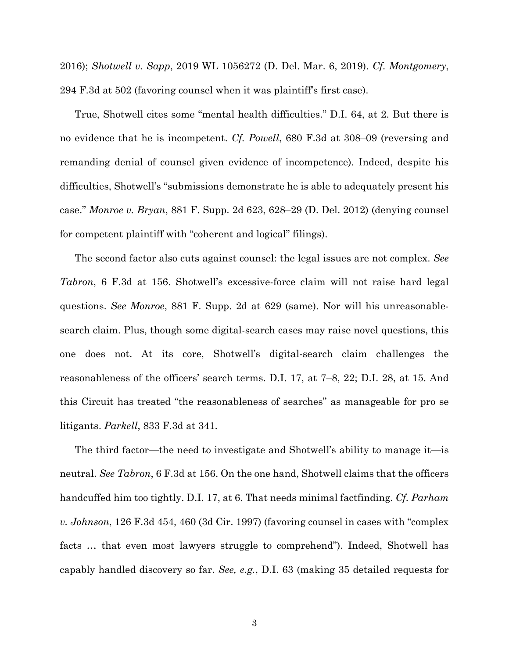2016); *Shotwell v. Sapp*, 2019 WL 1056272 (D. Del. Mar. 6, 2019). *Cf. Montgomery*, 294 F.3d at 502 (favoring counsel when it was plaintiff's first case).

True, Shotwell cites some "mental health difficulties." D.I. 64, at 2. But there is no evidence that he is incompetent. *Cf. Powell*, 680 F.3d at 308–09 (reversing and remanding denial of counsel given evidence of incompetence). Indeed, despite his difficulties, Shotwell's "submissions demonstrate he is able to adequately present his case." *Monroe v. Bryan*, 881 F. Supp. 2d 623, 628–29 (D. Del. 2012) (denying counsel for competent plaintiff with "coherent and logical" filings).

The second factor also cuts against counsel: the legal issues are not complex. *See Tabron*, 6 F.3d at 156. Shotwell's excessive-force claim will not raise hard legal questions. *See Monroe*, 881 F. Supp. 2d at 629 (same). Nor will his unreasonablesearch claim. Plus, though some digital-search cases may raise novel questions, this one does not. At its core, Shotwell's digital-search claim challenges the reasonableness of the officers' search terms. D.I. 17, at 7–8, 22; D.I. 28, at 15. And this Circuit has treated "the reasonableness of searches" as manageable for pro se litigants. *Parkell*, 833 F.3d at 341.

The third factor—the need to investigate and Shotwell's ability to manage it—is neutral. *See Tabron*, 6 F.3d at 156. On the one hand, Shotwell claims that the officers handcuffed him too tightly. D.I. 17, at 6. That needs minimal factfinding. *Cf. Parham v. Johnson*, 126 F.3d 454, 460 (3d Cir. 1997) (favoring counsel in cases with "complex facts … that even most lawyers struggle to comprehend"). Indeed, Shotwell has capably handled discovery so far. *See, e.g.*, D.I. 63 (making 35 detailed requests for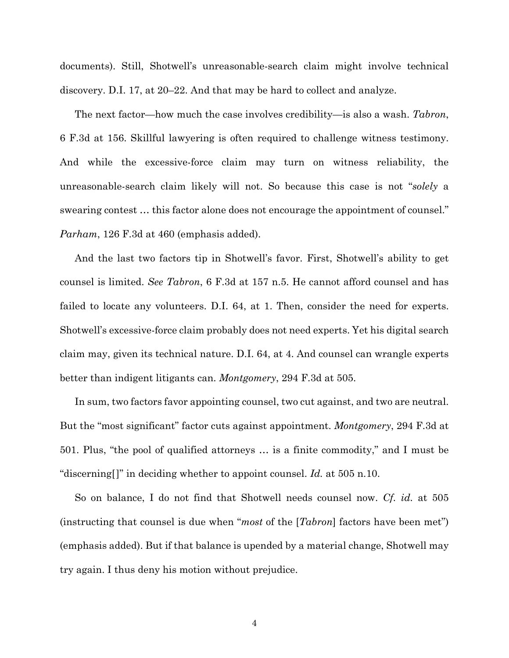documents). Still, Shotwell's unreasonable-search claim might involve technical discovery. D.I. 17, at 20–22. And that may be hard to collect and analyze.

The next factor—how much the case involves credibility—is also a wash. *Tabron*, 6 F.3d at 156. Skillful lawyering is often required to challenge witness testimony. And while the excessive-force claim may turn on witness reliability, the unreasonable-search claim likely will not. So because this case is not "*solely* a swearing contest … this factor alone does not encourage the appointment of counsel." *Parham*, 126 F.3d at 460 (emphasis added).

And the last two factors tip in Shotwell's favor. First, Shotwell's ability to get counsel is limited. *See Tabron*, 6 F.3d at 157 n.5. He cannot afford counsel and has failed to locate any volunteers. D.I. 64, at 1. Then, consider the need for experts. Shotwell's excessive-force claim probably does not need experts. Yet his digital search claim may, given its technical nature. D.I. 64, at 4. And counsel can wrangle experts better than indigent litigants can. *Montgomery*, 294 F.3d at 505.

In sum, two factors favor appointing counsel, two cut against, and two are neutral. But the "most significant" factor cuts against appointment. *Montgomery*, 294 F.3d at 501. Plus, "the pool of qualified attorneys … is a finite commodity," and I must be "discerning[]" in deciding whether to appoint counsel. *Id.* at 505 n.10.

So on balance, I do not find that Shotwell needs counsel now. *Cf. id.* at 505 (instructing that counsel is due when "*most* of the [*Tabron*] factors have been met") (emphasis added). But if that balance is upended by a material change, Shotwell may try again. I thus deny his motion without prejudice.